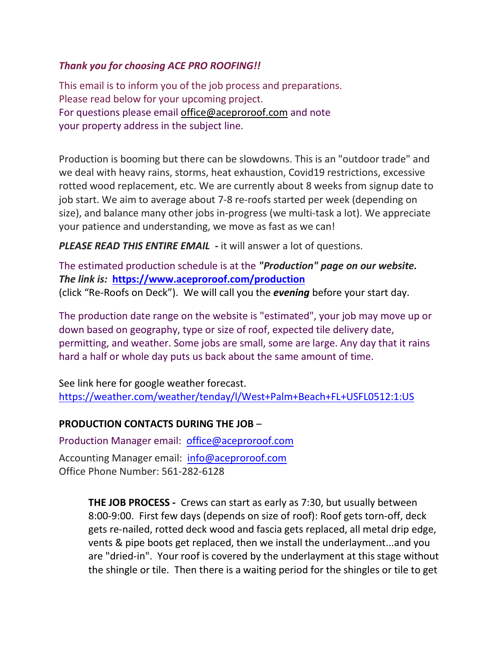## *Thank you for choosing ACE PRO ROOFING!!*

This email is to inform you of the job process and preparations. Please read below for your upcoming project. For questions please email [office@aceproroof.com](mailto:office@aceproroof.com) and note your property address in the subject line.

Production is booming but there can be slowdowns. This is an "outdoor trade" and we deal with heavy rains, storms, heat exhaustion, Covid19 restrictions, excessive rotted wood replacement, etc. We are currently about 8 weeks from signup date to job start. We aim to average about 7-8 re-roofs started per week (depending on size), and balance many other jobs in-progress (we multi-task a lot). We appreciate your patience and understanding, we move as fast as we can!

*PLEASE READ THIS ENTIRE EMAIL -* it will answer a lot of questions.

The estimated production schedule is at the *"Production" page on our website. The link is:* **<https://www.aceproroof.com/production>** (click "Re-Roofs on Deck"). We will call you the *evening* before your start day.

The production date range on the website is "estimated", your job may move up or down based on geography, type or size of roof, expected tile delivery date, permitting, and weather. Some jobs are small, some are large. Any day that it rains hard a half or whole day puts us back about the same amount of time.

See link here for google weather forecast. <https://weather.com/weather/tenday/l/West+Palm+Beach+FL+USFL0512:1:US>

## **PRODUCTION CONTACTS DURING THE JOB** –

Production Manager email: [office@aceproroof.com](mailto:office@aceproroof.com)

Accounting Manager email: [info@aceproroof.com](mailto:info@aceproroof.com) Office Phone Number: 561-282-6128

> **THE JOB PROCESS -** Crews can start as early as 7:30, but usually between 8:00-9:00. First few days (depends on size of roof): Roof gets torn-off, deck gets re-nailed, rotted deck wood and fascia gets replaced, all metal drip edge, vents & pipe boots get replaced, then we install the underlayment...and you are "dried-in". Your roof is covered by the underlayment at this stage without the shingle or tile. Then there is a waiting period for the shingles or tile to get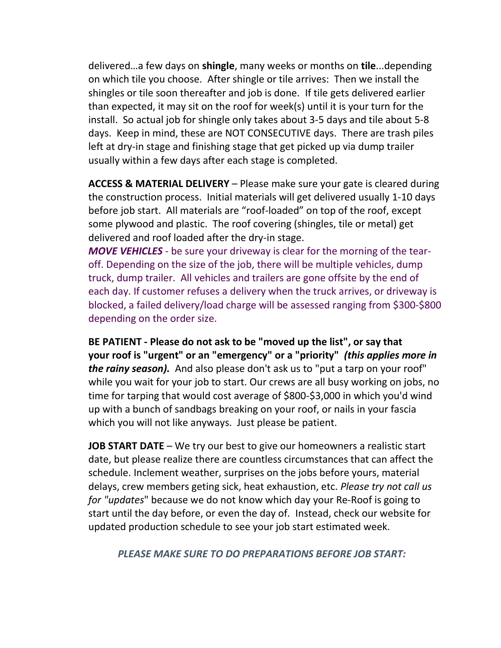delivered…a few days on **shingle**, many weeks or months on **tile**...depending on which tile you choose. After shingle or tile arrives: Then we install the shingles or tile soon thereafter and job is done. If tile gets delivered earlier than expected, it may sit on the roof for week(s) until it is your turn for the install. So actual job for shingle only takes about 3-5 days and tile about 5-8 days. Keep in mind, these are NOT CONSECUTIVE days. There are trash piles left at dry-in stage and finishing stage that get picked up via dump trailer usually within a few days after each stage is completed.

**ACCESS & MATERIAL DELIVERY** – Please make sure your gate is cleared during the construction process. Initial materials will get delivered usually 1-10 days before job start. All materials are "roof-loaded" on top of the roof, except some plywood and plastic. The roof covering (shingles, tile or metal) get delivered and roof loaded after the dry-in stage.

*MOVE VEHICLES* - be sure your driveway is clear for the morning of the tearoff. Depending on the size of the job, there will be multiple vehicles, dump truck, dump trailer. All vehicles and trailers are gone offsite by the end of each day. If customer refuses a delivery when the truck arrives, or driveway is blocked, a failed delivery/load charge will be assessed ranging from \$300-\$800 depending on the order size.

**BE PATIENT - Please do not ask to be "moved up the list", or say that your roof is "urgent" or an "emergency" or a "priority"** *(this applies more in the rainy season).* And also please don't ask us to "put a tarp on your roof" while you wait for your job to start. Our crews are all busy working on jobs, no time for tarping that would cost average of \$800-\$3,000 in which you'd wind up with a bunch of sandbags breaking on your roof, or nails in your fascia which you will not like anyways. Just please be patient.

**JOB START DATE** – We try our best to give our homeowners a realistic start date, but please realize there are countless circumstances that can affect the schedule. Inclement weather, surprises on the jobs before yours, material delays, crew members geting sick, heat exhaustion, etc. *Please try not call us for "updates*" because we do not know which day your Re-Roof is going to start until the day before, or even the day of. Instead, check our website for updated production schedule to see your job start estimated week.

## *PLEASE MAKE SURE TO DO PREPARATIONS BEFORE JOB START:*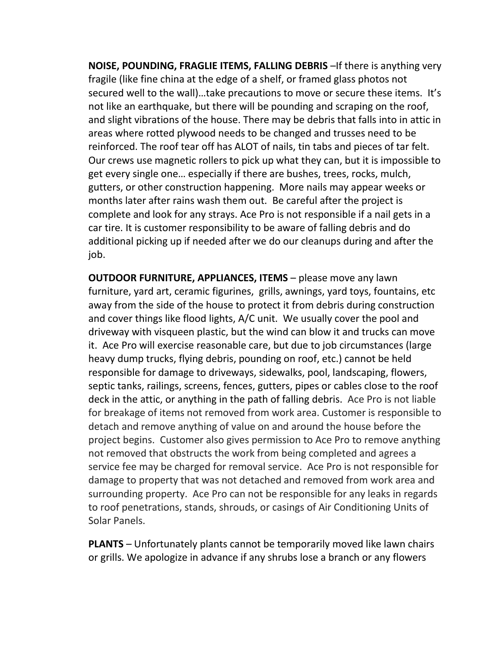**NOISE, POUNDING, FRAGLIE ITEMS, FALLING DEBRIS** -If there is anything very fragile (like fine china at the edge of a shelf, or framed glass photos not secured well to the wall)…take precautions to move or secure these items. It's not like an earthquake, but there will be pounding and scraping on the roof, and slight vibrations of the house. There may be debris that falls into in attic in areas where rotted plywood needs to be changed and trusses need to be reinforced. The roof tear off has ALOT of nails, tin tabs and pieces of tar felt. Our crews use magnetic rollers to pick up what they can, but it is impossible to get every single one… especially if there are bushes, trees, rocks, mulch, gutters, or other construction happening. More nails may appear weeks or months later after rains wash them out. Be careful after the project is complete and look for any strays. Ace Pro is not responsible if a nail gets in a car tire. It is customer responsibility to be aware of falling debris and do additional picking up if needed after we do our cleanups during and after the job.

**OUTDOOR FURNITURE, APPLIANCES, ITEMS** – please move any lawn furniture, yard art, ceramic figurines, grills, awnings, yard toys, fountains, etc away from the side of the house to protect it from debris during construction and cover things like flood lights, A/C unit. We usually cover the pool and driveway with visqueen plastic, but the wind can blow it and trucks can move it. Ace Pro will exercise reasonable care, but due to job circumstances (large heavy dump trucks, flying debris, pounding on roof, etc.) cannot be held responsible for damage to driveways, sidewalks, pool, landscaping, flowers, septic tanks, railings, screens, fences, gutters, pipes or cables close to the roof deck in the attic, or anything in the path of falling debris. Ace Pro is not liable for breakage of items not removed from work area. Customer is responsible to detach and remove anything of value on and around the house before the project begins. Customer also gives permission to Ace Pro to remove anything not removed that obstructs the work from being completed and agrees a service fee may be charged for removal service. Ace Pro is not responsible for damage to property that was not detached and removed from work area and surrounding property. Ace Pro can not be responsible for any leaks in regards to roof penetrations, stands, shrouds, or casings of Air Conditioning Units of Solar Panels.

**PLANTS** – Unfortunately plants cannot be temporarily moved like lawn chairs or grills. We apologize in advance if any shrubs lose a branch or any flowers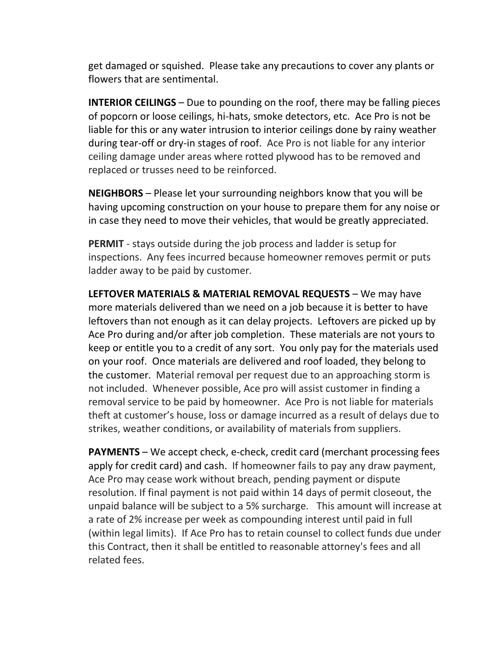get damaged or squished. Please take any precautions to cover any plants or flowers that are sentimental.

**INTERIOR CEILINGS** – Due to pounding on the roof, there may be falling pieces of popcorn or loose ceilings, hi-hats, smoke detectors, etc. Ace Pro is not be liable for this or any water intrusion to interior ceilings done by rainy weather during tear-off or dry-in stages of roof. Ace Pro is not liable for any interior ceiling damage under areas where rotted plywood has to be removed and replaced or trusses need to be reinforced.

**NEIGHBORS** – Please let your surrounding neighbors know that you will be having upcoming construction on your house to prepare them for any noise or in case they need to move their vehicles, that would be greatly appreciated.

**PERMIT** - stays outside during the job process and ladder is setup for inspections. Any fees incurred because homeowner removes permit or puts ladder away to be paid by customer.

**LEFTOVER MATERIALS & MATERIAL REMOVAL REQUESTS** – We may have more materials delivered than we need on a job because it is better to have leftovers than not enough as it can delay projects. Leftovers are picked up by Ace Pro during and/or after job completion. These materials are not yours to keep or entitle you to a credit of any sort. You only pay for the materials used on your roof. Once materials are delivered and roof loaded, they belong to the customer. Material removal per request due to an approaching storm is not included. Whenever possible, Ace pro will assist customer in finding a removal service to be paid by homeowner. Ace Pro is not liable for materials theft at customer's house, loss or damage incurred as a result of delays due to strikes, weather conditions, or availability of materials from suppliers.

**PAYMENTS** – We accept check, e-check, credit card (merchant processing fees apply for credit card) and cash. If homeowner fails to pay any draw payment, Ace Pro may cease work without breach, pending payment or dispute resolution. If final payment is not paid within 14 days of permit closeout, the unpaid balance will be subject to a 5% surcharge. This amount will increase at a rate of 2% increase per week as compounding interest until paid in full (within legal limits). If Ace Pro has to retain counsel to collect funds due under this Contract, then it shall be entitled to reasonable attorney's fees and all related fees.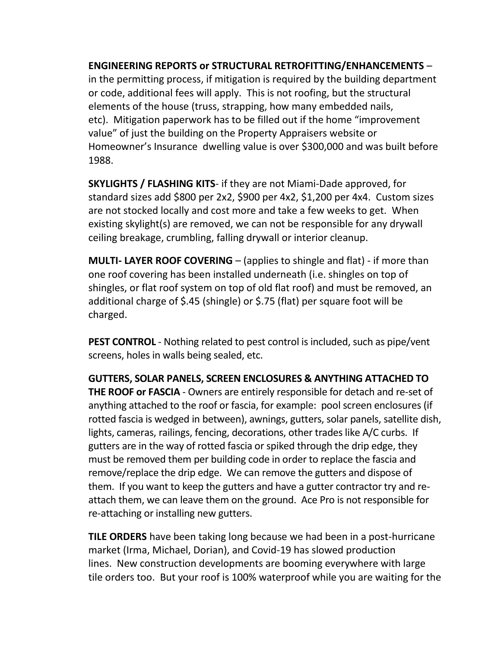**ENGINEERING REPORTS or STRUCTURAL RETROFITTING/ENHANCEMENTS** – in the permitting process, if mitigation is required by the building department or code, additional fees will apply. This is not roofing, but the structural elements of the house (truss, strapping, how many embedded nails, etc). Mitigation paperwork has to be filled out if the home "improvement value" of just the building on the Property Appraisers website or Homeowner's Insurance dwelling value is over \$300,000 and was built before 1988.

**SKYLIGHTS / FLASHING KITS**- if they are not Miami-Dade approved, for standard sizes add \$800 per 2x2, \$900 per 4x2, \$1,200 per 4x4. Custom sizes are not stocked locally and cost more and take a few weeks to get. When existing skylight(s) are removed, we can not be responsible for any drywall ceiling breakage, crumbling, falling drywall or interior cleanup.

**MULTI- LAYER ROOF COVERING** – (applies to shingle and flat) - if more than one roof covering has been installed underneath (i.e. shingles on top of shingles, or flat roof system on top of old flat roof) and must be removed, an additional charge of \$.45 (shingle) or \$.75 (flat) per square foot will be charged.

**PEST CONTROL** - Nothing related to pest control is included, such as pipe/vent screens, holes in walls being sealed, etc.

**GUTTERS, SOLAR PANELS, SCREEN ENCLOSURES & ANYTHING ATTACHED TO THE ROOF or FASCIA** - Owners are entirely responsible for detach and re-set of anything attached to the roof or fascia, for example: pool screen enclosures (if rotted fascia is wedged in between), awnings, gutters, solar panels, satellite dish, lights, cameras, railings, fencing, decorations, other trades like A/C curbs. If gutters are in the way of rotted fascia or spiked through the drip edge, they must be removed them per building code in order to replace the fascia and remove/replace the drip edge. We can remove the gutters and dispose of them. If you want to keep the gutters and have a gutter contractor try and reattach them, we can leave them on the ground. Ace Pro is not responsible for re-attaching or installing new gutters.

**TILE ORDERS** have been taking long because we had been in a post-hurricane market (Irma, Michael, Dorian), and Covid-19 has slowed production lines. New construction developments are booming everywhere with large tile orders too. But your roof is 100% waterproof while you are waiting for the